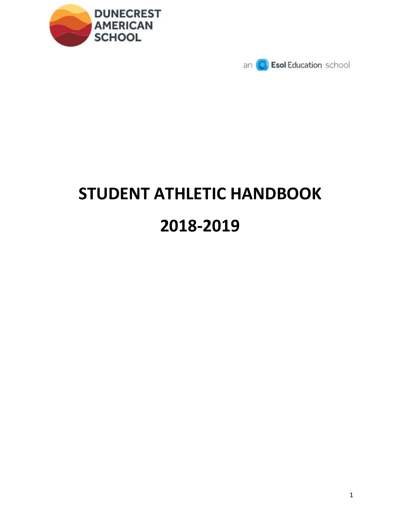



# **STUDENT ATHLETIC HANDBOOK 2018-2019**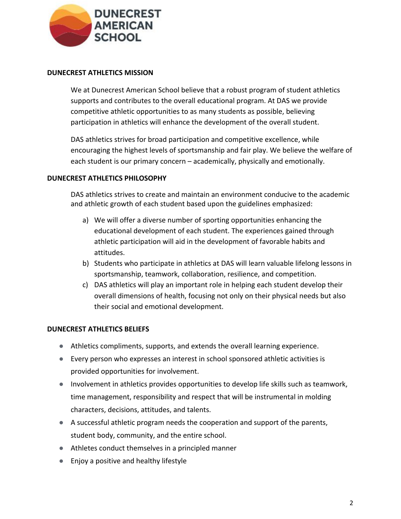

#### **DUNECREST ATHLETICS MISSION**

We at Dunecrest American School believe that a robust program of student athletics supports and contributes to the overall educational program. At DAS we provide competitive athletic opportunities to as many students as possible, believing participation in athletics will enhance the development of the overall student.

DAS athletics strives for broad participation and competitive excellence, while encouraging the highest levels of sportsmanship and fair play. We believe the welfare of each student is our primary concern – academically, physically and emotionally.

#### **DUNECREST ATHLETICS PHILOSOPHY**

DAS athletics strives to create and maintain an environment conducive to the academic and athletic growth of each student based upon the guidelines emphasized:

- a) We will offer a diverse number of sporting opportunities enhancing the educational development of each student. The experiences gained through athletic participation will aid in the development of favorable habits and attitudes.
- b) Students who participate in athletics at DAS will learn valuable lifelong lessons in sportsmanship, teamwork, collaboration, resilience, and competition.
- c) DAS athletics will play an important role in helping each student develop their overall dimensions of health, focusing not only on their physical needs but also their social and emotional development.

#### **DUNECREST ATHLETICS BELIEFS**

- Athletics compliments, supports, and extends the overall learning experience.
- Every person who expresses an interest in school sponsored athletic activities is provided opportunities for involvement.
- Involvement in athletics provides opportunities to develop life skills such as teamwork, time management, responsibility and respect that will be instrumental in molding characters, decisions, attitudes, and talents.
- A successful athletic program needs the cooperation and support of the parents, student body, community, and the entire school.
- Athletes conduct themselves in a principled manner
- Enjoy a positive and healthy lifestyle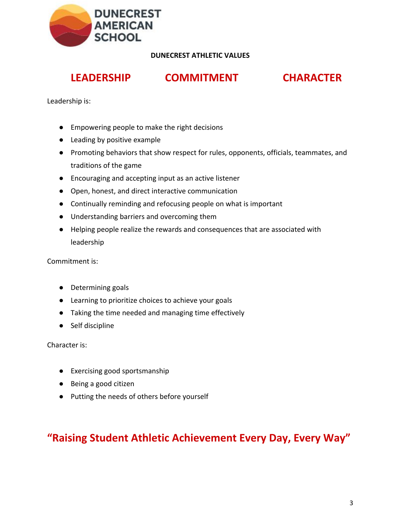

**DUNECREST ATHLETIC VALUES**

# **LEADERSHIP COMMITMENT CHARACTER**

Leadership is:

- Empowering people to make the right decisions
- Leading by positive example
- Promoting behaviors that show respect for rules, opponents, officials, teammates, and traditions of the game
- Encouraging and accepting input as an active listener
- Open, honest, and direct interactive communication
- Continually reminding and refocusing people on what is important
- Understanding barriers and overcoming them
- Helping people realize the rewards and consequences that are associated with leadership

Commitment is:

- Determining goals
- Learning to prioritize choices to achieve your goals
- Taking the time needed and managing time effectively
- Self discipline

Character is:

- Exercising good sportsmanship
- Being a good citizen
- Putting the needs of others before yourself

**"Raising Student Athletic Achievement Every Day, Every Way"**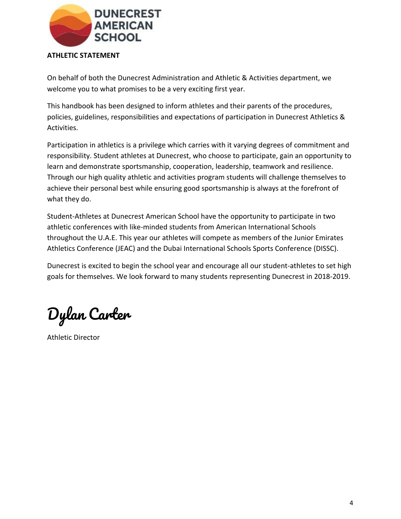

#### **ATHLETIC STATEMENT**

On behalf of both the Dunecrest Administration and Athletic & Activities department, we welcome you to what promises to be a very exciting first year.

This handbook has been designed to inform athletes and their parents of the procedures, policies, guidelines, responsibilities and expectations of participation in Dunecrest Athletics & Activities.

Participation in athletics is a privilege which carries with it varying degrees of commitment and responsibility. Student athletes at Dunecrest, who choose to participate, gain an opportunity to learn and demonstrate sportsmanship, cooperation, leadership, teamwork and resilience. Through our high quality athletic and activities program students will challenge themselves to achieve their personal best while ensuring good sportsmanship is always at the forefront of what they do.

Student-Athletes at Dunecrest American School have the opportunity to participate in two athletic conferences with like-minded students from American International Schools throughout the U.A.E. This year our athletes will compete as members of the Junior Emirates Athletics Conference (JEAC) and the Dubai International Schools Sports Conference (DISSC).

Dunecrest is excited to begin the school year and encourage all our student-athletes to set high goals for themselves. We look forward to many students representing Dunecrest in 2018-2019.

Dylan Carter

Athletic Director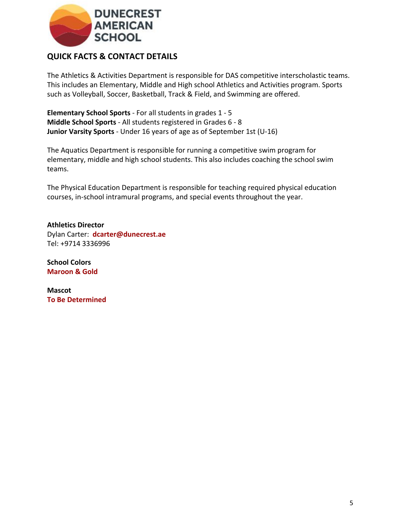

## **QUICK FACTS & CONTACT DETAILS**

The Athletics & Activities Department is responsible for DAS competitive interscholastic teams. This includes an Elementary, Middle and High school Athletics and Activities program. Sports such as Volleyball, Soccer, Basketball, Track & Field, and Swimming are offered.

**Elementary School Sports** - For all students in grades 1 - 5 **Middle School Sports** - All students registered in Grades 6 - 8 **Junior Varsity Sports** - Under 16 years of age as of September 1st (U-16)

The Aquatics Department is responsible for running a competitive swim program for elementary, middle and high school students. This also includes coaching the school swim teams.

The Physical Education Department is responsible for teaching required physical education courses, in-school intramural programs, and special events throughout the year.

**Athletics Director** Dylan Carter: **dcarter@dunecrest.ae** Tel: +9714 3336996

**School Colors Maroon & Gold**

**Mascot To Be Determined**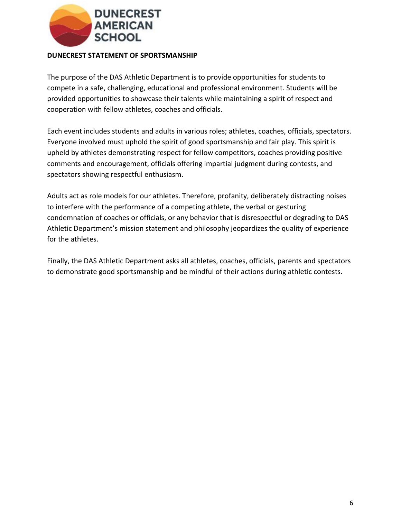

#### **DUNECREST STATEMENT OF SPORTSMANSHIP**

The purpose of the DAS Athletic Department is to provide opportunities for students to compete in a safe, challenging, educational and professional environment. Students will be provided opportunities to showcase their talents while maintaining a spirit of respect and cooperation with fellow athletes, coaches and officials.

Each event includes students and adults in various roles; athletes, coaches, officials, spectators. Everyone involved must uphold the spirit of good sportsmanship and fair play. This spirit is upheld by athletes demonstrating respect for fellow competitors, coaches providing positive comments and encouragement, officials offering impartial judgment during contests, and spectators showing respectful enthusiasm.

Adults act as role models for our athletes. Therefore, profanity, deliberately distracting noises to interfere with the performance of a competing athlete, the verbal or gesturing condemnation of coaches or officials, or any behavior that is disrespectful or degrading to DAS Athletic Department's mission statement and philosophy jeopardizes the quality of experience for the athletes.

Finally, the DAS Athletic Department asks all athletes, coaches, officials, parents and spectators to demonstrate good sportsmanship and be mindful of their actions during athletic contests.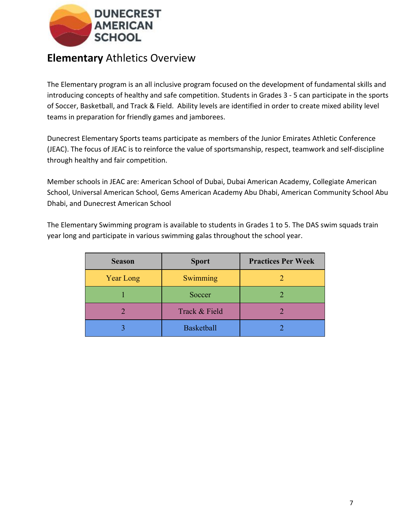

# **Elementary** Athletics Overview

The Elementary program is an all inclusive program focused on the development of fundamental skills and introducing concepts of healthy and safe competition. Students in Grades 3 - 5 can participate in the sports of Soccer, Basketball, and Track & Field. Ability levels are identified in order to create mixed ability level teams in preparation for friendly games and jamborees.

Dunecrest Elementary Sports teams participate as members of the Junior Emirates Athletic Conference (JEAC). The focus of JEAC is to reinforce the value of sportsmanship, respect, teamwork and self-discipline through healthy and fair competition.

Member schools in JEAC are: American School of Dubai, Dubai American Academy, Collegiate American School, Universal American School, Gems American Academy Abu Dhabi, American Community School Abu Dhabi, and Dunecrest American School

The Elementary Swimming program is available to students in Grades 1 to 5. The DAS swim squads train year long and participate in various swimming galas throughout the school year.

| <b>Season</b>    | <b>Sport</b>      | <b>Practices Per Week</b> |
|------------------|-------------------|---------------------------|
| <b>Year Long</b> | Swimming          |                           |
|                  | Soccer            |                           |
|                  | Track & Field     |                           |
|                  | <b>Basketball</b> |                           |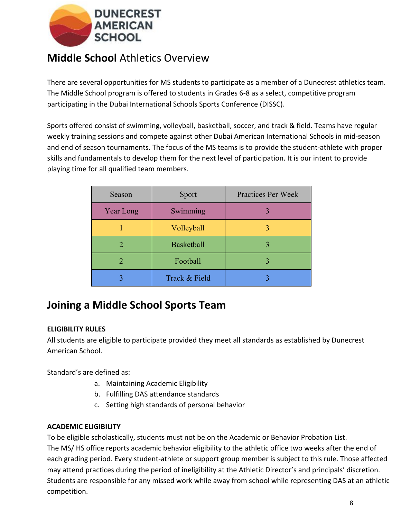

# **Middle School** Athletics Overview

There are several opportunities for MS students to participate as a member of a Dunecrest athletics team. The Middle School program is offered to students in Grades 6-8 as a select, competitive program participating in the Dubai International Schools Sports Conference (DISSC).

Sports offered consist of swimming, volleyball, basketball, soccer, and track & field. Teams have regular weekly training sessions and compete against other Dubai American International Schools in mid-season and end of season tournaments. The focus of the MS teams is to provide the student-athlete with proper skills and fundamentals to develop them for the next level of participation. It is our intent to provide playing time for all qualified team members.

| Season                      | Sport             | Practices Per Week |
|-----------------------------|-------------------|--------------------|
| Year Long                   | Swimming          |                    |
|                             | Volleyball        |                    |
| $\mathcal{D}_{\mathcal{A}}$ | <b>Basketball</b> | 3                  |
|                             | Football          |                    |
|                             | Track & Field     |                    |

# **Joining a Middle School Sports Team**

## **ELIGIBILITY RULES**

All students are eligible to participate provided they meet all standards as established by Dunecrest American School.

Standard's are defined as:

- a. Maintaining Academic Eligibility
- b. Fulfilling DAS attendance standards
- c. Setting high standards of personal behavior

## **ACADEMIC ELIGIBILITY**

To be eligible scholastically, students must not be on the Academic or Behavior Probation List. The MS/ HS office reports academic behavior eligibility to the athletic office two weeks after the end of each grading period. Every student-athlete or support group member is subject to this rule. Those affected may attend practices during the period of ineligibility at the Athletic Director's and principals' discretion. Students are responsible for any missed work while away from school while representing DAS at an athletic competition.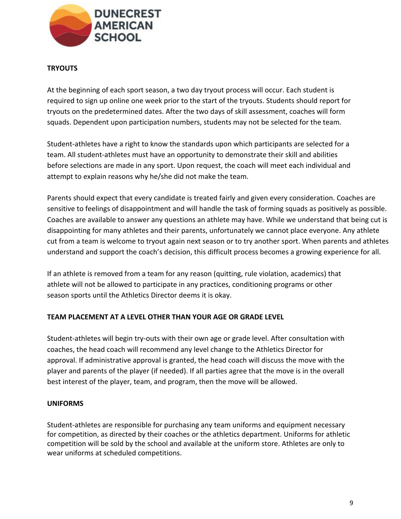

## **TRYOUTS**

At the beginning of each sport season, a two day tryout process will occur. Each student is required to sign up online one week prior to the start of the tryouts. Students should report for tryouts on the predetermined dates. After the two days of skill assessment, coaches will form squads. Dependent upon participation numbers, students may not be selected for the team.

Student-athletes have a right to know the standards upon which participants are selected for a team. All student-athletes must have an opportunity to demonstrate their skill and abilities before selections are made in any sport. Upon request, the coach will meet each individual and attempt to explain reasons why he/she did not make the team.

Parents should expect that every candidate is treated fairly and given every consideration. Coaches are sensitive to feelings of disappointment and will handle the task of forming squads as positively as possible. Coaches are available to answer any questions an athlete may have. While we understand that being cut is disappointing for many athletes and their parents, unfortunately we cannot place everyone. Any athlete cut from a team is welcome to tryout again next season or to try another sport. When parents and athletes understand and support the coach's decision, this difficult process becomes a growing experience for all.

If an athlete is removed from a team for any reason (quitting, rule violation, academics) that athlete will not be allowed to participate in any practices, conditioning programs or other season sports until the Athletics Director deems it is okay.

## **TEAM PLACEMENT AT A LEVEL OTHER THAN YOUR AGE OR GRADE LEVEL**

Student-athletes will begin try-outs with their own age or grade level. After consultation with coaches, the head coach will recommend any level change to the Athletics Director for approval. If administrative approval is granted, the head coach will discuss the move with the player and parents of the player (if needed). If all parties agree that the move is in the overall best interest of the player, team, and program, then the move will be allowed.

## **UNIFORMS**

Student-athletes are responsible for purchasing any team uniforms and equipment necessary for competition, as directed by their coaches or the athletics department. Uniforms for athletic competition will be sold by the school and available at the uniform store. Athletes are only to wear uniforms at scheduled competitions.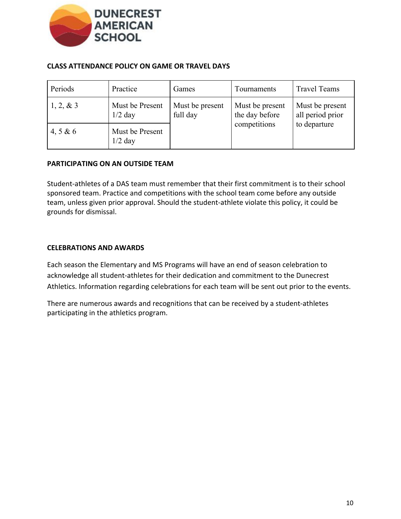

#### **CLASS ATTENDANCE POLICY ON GAME OR TRAVEL DAYS**

| Periods    | Practice                     | Games                       | Tournaments                       | <b>Travel Teams</b>                 |
|------------|------------------------------|-----------------------------|-----------------------------------|-------------------------------------|
| 1, 2, 8, 3 | Must be Present<br>$1/2$ day | Must be present<br>full day | Must be present<br>the day before | Must be present<br>all period prior |
| 4, 5 & 6   | Must be Present<br>$1/2$ day |                             | competitions                      | to departure                        |

#### **PARTICIPATING ON AN OUTSIDE TEAM**

Student-athletes of a DAS team must remember that their first commitment is to their school sponsored team. Practice and competitions with the school team come before any outside team, unless given prior approval. Should the student-athlete violate this policy, it could be grounds for dismissal.

#### **CELEBRATIONS AND AWARDS**

Each season the Elementary and MS Programs will have an end of season celebration to acknowledge all student-athletes for their dedication and commitment to the Dunecrest Athletics. Information regarding celebrations for each team will be sent out prior to the events.

There are numerous awards and recognitions that can be received by a student-athletes participating in the athletics program.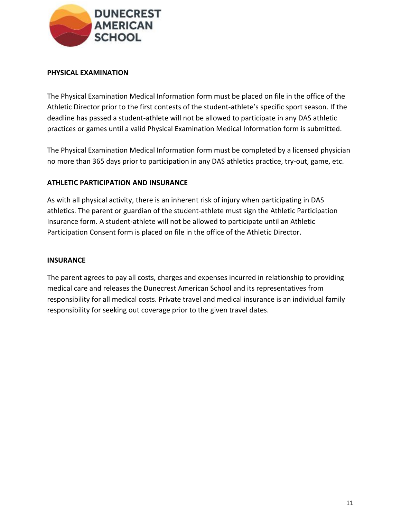

#### **PHYSICAL EXAMINATION**

The Physical Examination Medical Information form must be placed on file in the office of the Athletic Director prior to the first contests of the student-athlete's specific sport season. If the deadline has passed a student-athlete will not be allowed to participate in any DAS athletic practices or games until a valid Physical Examination Medical Information form is submitted.

The Physical Examination Medical Information form must be completed by a licensed physician no more than 365 days prior to participation in any DAS athletics practice, try-out, game, etc.

#### **ATHLETIC PARTICIPATION AND INSURANCE**

As with all physical activity, there is an inherent risk of injury when participating in DAS athletics. The parent or guardian of the student-athlete must sign the Athletic Participation Insurance form. A student-athlete will not be allowed to participate until an Athletic Participation Consent form is placed on file in the office of the Athletic Director.

#### **INSURANCE**

The parent agrees to pay all costs, charges and expenses incurred in relationship to providing medical care and releases the Dunecrest American School and its representatives from responsibility for all medical costs. Private travel and medical insurance is an individual family responsibility for seeking out coverage prior to the given travel dates.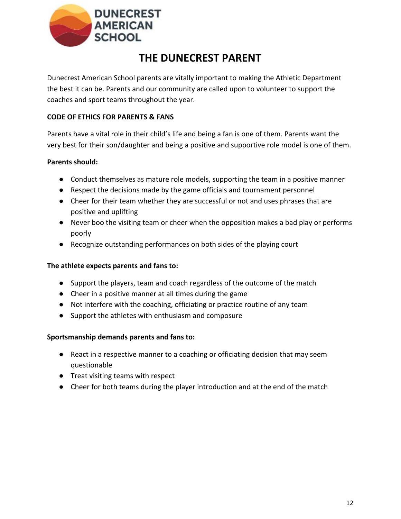

# **THE DUNECREST PARENT**

Dunecrest American School parents are vitally important to making the Athletic Department the best it can be. Parents and our community are called upon to volunteer to support the coaches and sport teams throughout the year.

## **CODE OF ETHICS FOR PARENTS & FANS**

Parents have a vital role in their child's life and being a fan is one of them. Parents want the very best for their son/daughter and being a positive and supportive role model is one of them.

## **Parents should:**

- Conduct themselves as mature role models, supporting the team in a positive manner
- Respect the decisions made by the game officials and tournament personnel
- Cheer for their team whether they are successful or not and uses phrases that are positive and uplifting
- Never boo the visiting team or cheer when the opposition makes a bad play or performs poorly
- Recognize outstanding performances on both sides of the playing court

## **The athlete expects parents and fans to:**

- Support the players, team and coach regardless of the outcome of the match
- Cheer in a positive manner at all times during the game
- Not interfere with the coaching, officiating or practice routine of any team
- Support the athletes with enthusiasm and composure

## **Sportsmanship demands parents and fans to:**

- React in a respective manner to a coaching or officiating decision that may seem questionable
- Treat visiting teams with respect
- Cheer for both teams during the player introduction and at the end of the match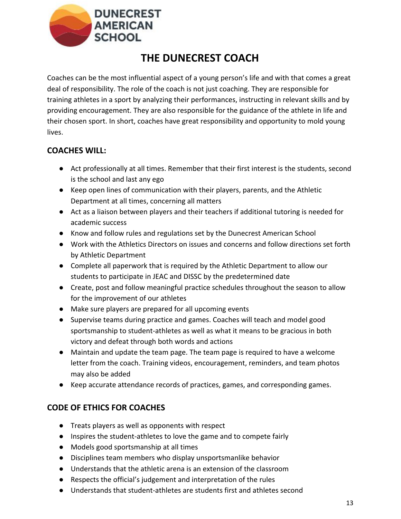

# **THE DUNECREST COACH**

Coaches can be the most influential aspect of a young person's life and with that comes a great deal of responsibility. The role of the coach is not just coaching. They are responsible for training athletes in a sport by analyzing their performances, instructing in relevant skills and by providing encouragement. They are also responsible for the guidance of the athlete in life and their chosen sport. In short, coaches have great responsibility and opportunity to mold young lives.

# **COACHES WILL:**

- Act professionally at all times. Remember that their first interest is the students, second is the school and last any ego
- Keep open lines of communication with their players, parents, and the Athletic Department at all times, concerning all matters
- Act as a liaison between players and their teachers if additional tutoring is needed for academic success
- Know and follow rules and regulations set by the Dunecrest American School
- Work with the Athletics Directors on issues and concerns and follow directions set forth by Athletic Department
- Complete all paperwork that is required by the Athletic Department to allow our students to participate in JEAC and DISSC by the predetermined date
- Create, post and follow meaningful practice schedules throughout the season to allow for the improvement of our athletes
- Make sure players are prepared for all upcoming events
- Supervise teams during practice and games. Coaches will teach and model good sportsmanship to student-athletes as well as what it means to be gracious in both victory and defeat through both words and actions
- Maintain and update the team page. The team page is required to have a welcome letter from the coach. Training videos, encouragement, reminders, and team photos may also be added
- Keep accurate attendance records of practices, games, and corresponding games.

# **CODE OF ETHICS FOR COACHES**

- Treats players as well as opponents with respect
- Inspires the student-athletes to love the game and to compete fairly
- Models good sportsmanship at all times
- Disciplines team members who display unsportsmanlike behavior
- Understands that the athletic arena is an extension of the classroom
- Respects the official's judgement and interpretation of the rules
- Understands that student-athletes are students first and athletes second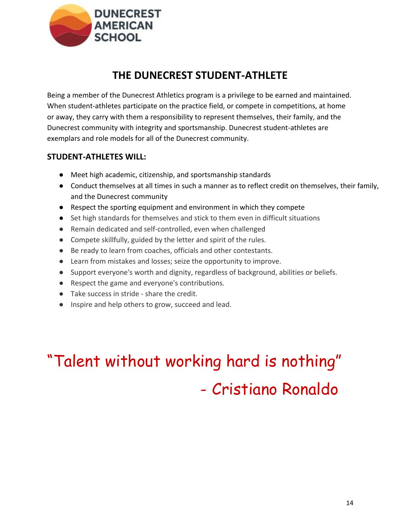

# **THE DUNECREST STUDENT-ATHLETE**

Being a member of the Dunecrest Athletics program is a privilege to be earned and maintained. When student-athletes participate on the practice field, or compete in competitions, at home or away, they carry with them a responsibility to represent themselves, their family, and the Dunecrest community with integrity and sportsmanship. Dunecrest student-athletes are exemplars and role models for all of the Dunecrest community.

## **STUDENT-ATHLETES WILL:**

- Meet high academic, citizenship, and sportsmanship standards
- Conduct themselves at all times in such a manner as to reflect credit on themselves, their family, and the Dunecrest community
- Respect the sporting equipment and environment in which they compete
- Set high standards for themselves and stick to them even in difficult situations
- Remain dedicated and self-controlled, even when challenged
- Compete skillfully, guided by the letter and spirit of the rules.
- Be ready to learn from coaches, officials and other contestants.
- Learn from mistakes and losses; seize the opportunity to improve.
- Support everyone's worth and dignity, regardless of background, abilities or beliefs.
- Respect the game and everyone's contributions.
- Take success in stride share the credit.
- Inspire and help others to grow, succeed and lead.

# "Talent without working hard is nothing" - Cristiano Ronaldo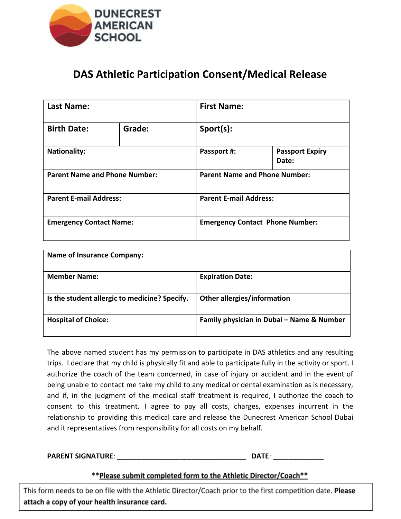

# **DAS Athletic Participation Consent/Medical Release**

| <b>Last Name:</b>                    |        | <b>First Name:</b> |                                        |  |  |
|--------------------------------------|--------|--------------------|----------------------------------------|--|--|
| <b>Birth Date:</b>                   | Grade: | Sport(s):          |                                        |  |  |
| <b>Nationality:</b>                  |        | Passport #:        | <b>Passport Expiry</b><br>Date:        |  |  |
| <b>Parent Name and Phone Number:</b> |        |                    | <b>Parent Name and Phone Number:</b>   |  |  |
| <b>Parent E-mail Address:</b>        |        |                    | <b>Parent E-mail Address:</b>          |  |  |
| <b>Emergency Contact Name:</b>       |        |                    | <b>Emergency Contact Phone Number:</b> |  |  |

| <b>Name of Insurance Company:</b>             |                                           |
|-----------------------------------------------|-------------------------------------------|
| <b>Member Name:</b>                           | <b>Expiration Date:</b>                   |
| Is the student allergic to medicine? Specify. | <b>Other allergies/information</b>        |
| <b>Hospital of Choice:</b>                    | Family physician in Dubai - Name & Number |

The above named student has my permission to participate in DAS athletics and any resulting trips. I declare that my child is physically fit and able to participate fully in the activity or sport. I authorize the coach of the team concerned, in case of injury or accident and in the event of being unable to contact me take my child to any medical or dental examination as is necessary, and if, in the judgment of the medical staff treatment is required, I authorize the coach to consent to this treatment. I agree to pay all costs, charges, expenses incurrent in the relationship to providing this medical care and release the Dunecrest American School Dubai and it representatives from responsibility for all costs on my behalf.

#### **PARENT SIGNATURE**: \_\_\_\_\_\_\_\_\_\_\_\_\_\_\_\_\_\_\_\_\_\_\_\_\_\_\_\_\_\_\_\_\_ **DATE**: \_\_\_\_\_\_\_\_\_\_\_\_\_

## \*\* Please submit completed form to the Athletic Director/Coach\*\*

This form needs to be on file with the Athletic Director/Coach prior to the first competition date. Please attach a copy of your health insurance card.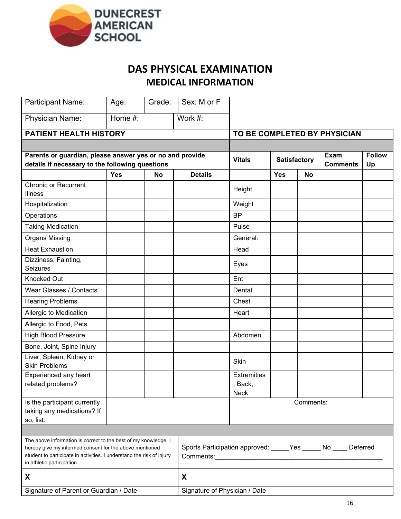

# **DAS PHYSICAL EXAMINATION MEDICAL INFORMATION**

| Participant Name:                                                                                                                                                                                                                 | Age:       | Grade:                                                                                    | Sex: M or F    |                                              |                     |           |                              |                     |
|-----------------------------------------------------------------------------------------------------------------------------------------------------------------------------------------------------------------------------------|------------|-------------------------------------------------------------------------------------------|----------------|----------------------------------------------|---------------------|-----------|------------------------------|---------------------|
| Physician Name:                                                                                                                                                                                                                   | Home #:    |                                                                                           | Work #:        |                                              |                     |           |                              |                     |
| PATIENT HEALTH HISTORY                                                                                                                                                                                                            |            |                                                                                           |                |                                              |                     |           | TO BE COMPLETED BY PHYSICIAN |                     |
|                                                                                                                                                                                                                                   |            |                                                                                           |                |                                              |                     |           |                              |                     |
| Parents or guardian, please answer yes or no and provide<br>details if necessary to the following questions                                                                                                                       |            |                                                                                           |                | <b>Vitals</b>                                | <b>Satisfactory</b> |           | Exam<br><b>Comments</b>      | <b>Follow</b><br>Up |
|                                                                                                                                                                                                                                   | <b>Yes</b> | <b>No</b>                                                                                 | <b>Details</b> |                                              | <b>Yes</b>          | <b>No</b> |                              |                     |
| <b>Chronic or Recurrent</b><br><b>Illness</b>                                                                                                                                                                                     |            |                                                                                           |                | Height                                       |                     |           |                              |                     |
| Hospitalization                                                                                                                                                                                                                   |            |                                                                                           |                | Weight                                       |                     |           |                              |                     |
| Operations                                                                                                                                                                                                                        |            |                                                                                           |                | <b>BP</b>                                    |                     |           |                              |                     |
| <b>Taking Medication</b>                                                                                                                                                                                                          |            |                                                                                           |                | Pulse                                        |                     |           |                              |                     |
| <b>Organs Missing</b>                                                                                                                                                                                                             |            |                                                                                           |                | General:                                     |                     |           |                              |                     |
| <b>Heat Exhaustion</b>                                                                                                                                                                                                            |            |                                                                                           |                | Head                                         |                     |           |                              |                     |
| Dizziness, Fainting,<br>Seizures                                                                                                                                                                                                  |            |                                                                                           |                | Eyes                                         |                     |           |                              |                     |
| <b>Knocked Out</b>                                                                                                                                                                                                                |            |                                                                                           |                | Ent                                          |                     |           |                              |                     |
| <b>Wear Glasses / Contacts</b>                                                                                                                                                                                                    |            |                                                                                           |                | Dental                                       |                     |           |                              |                     |
| <b>Hearing Problems</b>                                                                                                                                                                                                           |            |                                                                                           |                | Chest                                        |                     |           |                              |                     |
| Allergic to Medication                                                                                                                                                                                                            |            |                                                                                           |                | Heart                                        |                     |           |                              |                     |
| Allergic to Food, Pets                                                                                                                                                                                                            |            |                                                                                           |                |                                              |                     |           |                              |                     |
| <b>High Blood Pressure</b>                                                                                                                                                                                                        |            |                                                                                           |                | Abdomen                                      |                     |           |                              |                     |
| Bone, Joint, Spine Injury                                                                                                                                                                                                         |            |                                                                                           |                |                                              |                     |           |                              |                     |
| Liver, Spleen, Kidney or<br><b>Skin Problems</b>                                                                                                                                                                                  |            |                                                                                           |                | Skin                                         |                     |           |                              |                     |
| Experienced any heart<br>related problems?                                                                                                                                                                                        |            |                                                                                           |                | <b>Extremities</b><br>, Back,<br><b>Neck</b> |                     |           |                              |                     |
| Is the participant currently<br>taking any medications? If<br>so, list:                                                                                                                                                           |            |                                                                                           |                |                                              |                     | Comments: |                              |                     |
|                                                                                                                                                                                                                                   |            |                                                                                           |                |                                              |                     |           |                              |                     |
| The above information is correct to the best of my knowledge. I<br>hereby give my informed consent for the above mentioned<br>student to participate in activities. I understand the risk of injury<br>in athletic participation. |            | Sports Participation approved: _____Yes ______ No ____<br>Deferred<br>Comments: Comments: |                |                                              |                     |           |                              |                     |
| X                                                                                                                                                                                                                                 |            | X                                                                                         |                |                                              |                     |           |                              |                     |
| Signature of Parent or Guardian / Date                                                                                                                                                                                            |            | Signature of Physician / Date                                                             |                |                                              |                     |           |                              |                     |